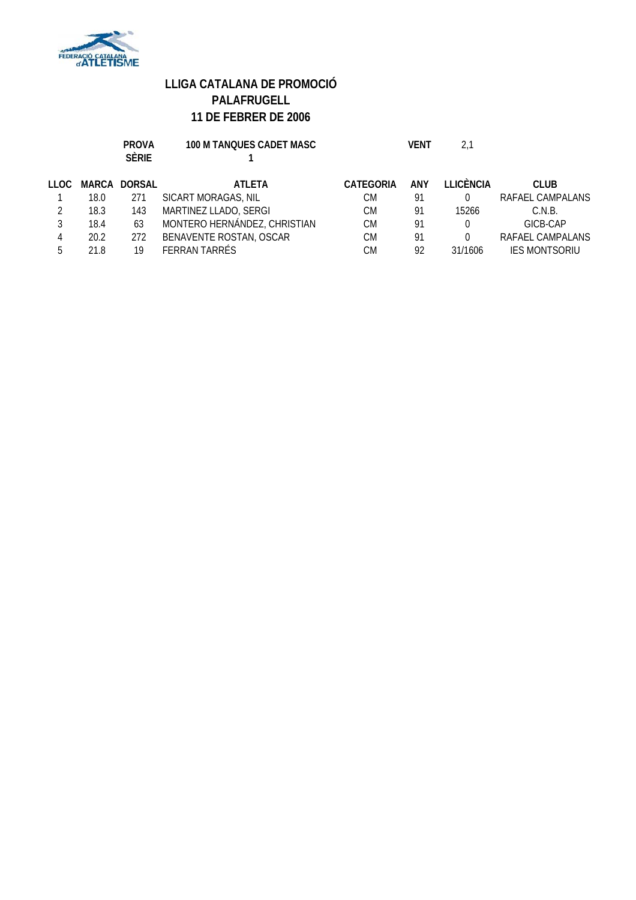

|       |      | <b>PROVA</b><br><b>SÈRIE</b> | <b>100 M TANQUES CADET MASC</b> |                  | VENT       | 2.1       |                      |
|-------|------|------------------------------|---------------------------------|------------------|------------|-----------|----------------------|
| LLOC. |      | <b>MARCA DORSAL</b>          | <b>ATLETA</b>                   | <b>CATEGORIA</b> | <b>ANY</b> | LLICÈNCIA | <b>CLUB</b>          |
|       | 18.0 | 271                          | SICART MORAGAS, NIL             | СM               | 91         |           | RAFAEL CAMPALANS     |
|       | 18.3 | 143                          | MARTINEZ LLADO, SERGI           | СM               | 91         | 15266     | C.N.B.               |
|       | 18.4 | 63                           | MONTERO HERNÁNDEZ, CHRISTIAN    | СM               | 91         |           | GICB-CAP             |
| 4     | 20.2 | 272                          | BENAVENTE ROSTAN, OSCAR         | СM               | 91         |           | RAFAEL CAMPALANS     |
|       | 21.8 | 19                           | <b>FERRAN TARRÉS</b>            | СM               | 92         | 31/1606   | <b>IES MONTSORIU</b> |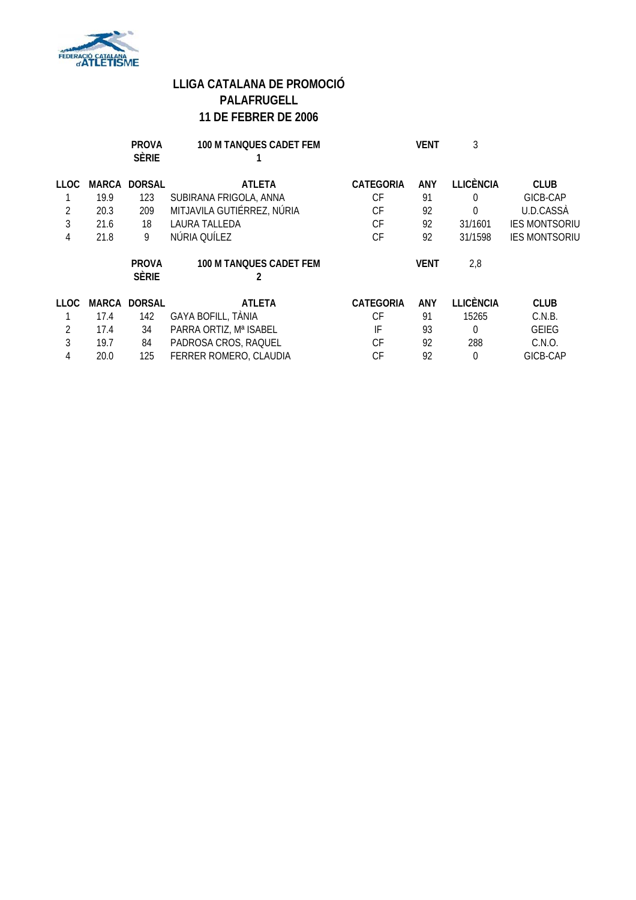

|             |       | <b>PROVA</b><br><b>SÈRIE</b> | <b>100 M TANQUES CADET FEM</b> |                  | <b>VENT</b> | 3                |                      |
|-------------|-------|------------------------------|--------------------------------|------------------|-------------|------------------|----------------------|
| LLOC.       | MARCA | <b>DORSAL</b>                | <b>ATLETA</b>                  | <b>CATEGORIA</b> | <b>ANY</b>  | <b>LLICÈNCIA</b> | <b>CLUB</b>          |
|             | 19.9  | 123                          | SUBIRANA FRIGOLA, ANNA         | CF               | 91          | 0                | GICB-CAP             |
| 2           | 20.3  | 209                          | MITJAVILA GUTIÉRREZ, NÚRIA     | СF               | 92          | 0                | U.D.CASSA            |
| 3           | 21.6  | 18                           | LAURA TALLEDA                  | СF               | 92          | 31/1601          | <b>IES MONTSORIU</b> |
| 4           | 21.8  | 9                            | NÚRIA QUÍLEZ                   | СF               | 92          | 31/1598          | <b>IES MONTSORIU</b> |
|             |       | <b>PROVA</b><br><b>SÈRIE</b> | 100 M TANQUES CADET FEM        |                  | <b>VENT</b> | 2,8              |                      |
| <b>LLOC</b> | MARCA | <b>DORSAL</b>                | <b>ATLETA</b>                  | <b>CATEGORIA</b> | <b>ANY</b>  | <b>LLICÈNCIA</b> | <b>CLUB</b>          |
|             | 17.4  | 142                          | GAYA BOFILL, TÀNIA             | СF               | 91          | 15265            | C.N.B.               |
| 2           | 17.4  | 34                           | PARRA ORTIZ, Mª ISABEL         | IF               | 93          | $\Omega$         | <b>GEIEG</b>         |
| 3           | 19.7  | 84                           | PADROSA CROS, RAQUEL           | СF               | 92          | 288              | C.N.O.               |
| 4           | 20.0  | 125                          | FERRER ROMERO, CLAUDIA         | СF               | 92          | $\Omega$         | GICB-CAP             |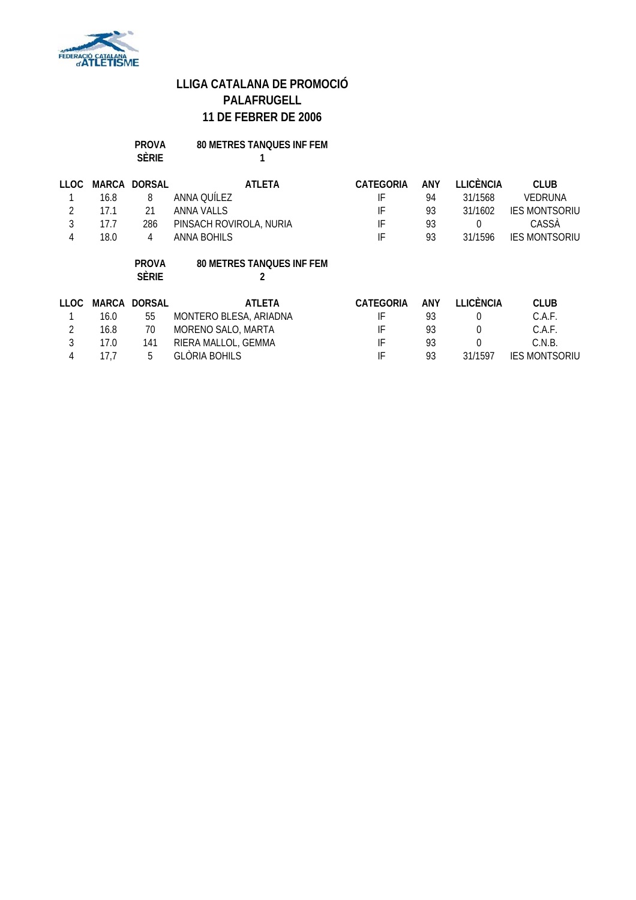

### **PROVA 80 METRES TANQUES INF FEM SÈRIE 1**

| 110C           | MARCA | <b>DORSAL</b>                | <b>ATLETA</b>                    | <b>CATEGORIA</b> | <b>ANY</b> | <b>LLICÈNCIA</b> | <b>CLUB</b>          |
|----------------|-------|------------------------------|----------------------------------|------------------|------------|------------------|----------------------|
|                | 16.8  | 8                            | ANNA QUÍLEZ                      | IF               | 94         | 31/1568          | <b>VEDRUNA</b>       |
| $\overline{2}$ | 17.1  | 21                           | <b>ANNA VALLS</b>                | IF               | 93         | 31/1602          | <b>IES MONTSORIU</b> |
| 3              | 17.7  | 286                          | PINSACH ROVIROLA, NURIA          | IF               | 93         | 0                | CASSA                |
| 4              | 18.0  | 4                            | ANNA BOHILS                      | IF               | 93         | 31/1596          | <b>IES MONTSORIU</b> |
|                |       | <b>PROVA</b><br><b>SÈRIE</b> | <b>80 METRES TANQUES INF FEM</b> |                  |            |                  |                      |
| 11 OC          | MARCA | <b>DORSAL</b>                | <b>ATLETA</b>                    | <b>CATEGORIA</b> | <b>ANY</b> | <b>LLICÈNCIA</b> | <b>CLUB</b>          |
|                | 16.0  | 55                           | MONTERO BLESA, ARIADNA           | IF               | 93         | $\Omega$         | C.A.F.               |
| 2              | 16.8  | 70                           | MORENO SALO, MARTA               | IF               | 93         | $\theta$         | C.A.F.               |
| 3              | 17.0  | 141                          | RIERA MALLOL, GEMMA              | IF               | 93         | $\mathbf 0$      | C.N.B.               |
| 4              | 17.7  | 5                            | <b>GLÒRIA BOHILS</b>             | IF               | 93         | 31/1597          | <b>IES MONTSORIU</b> |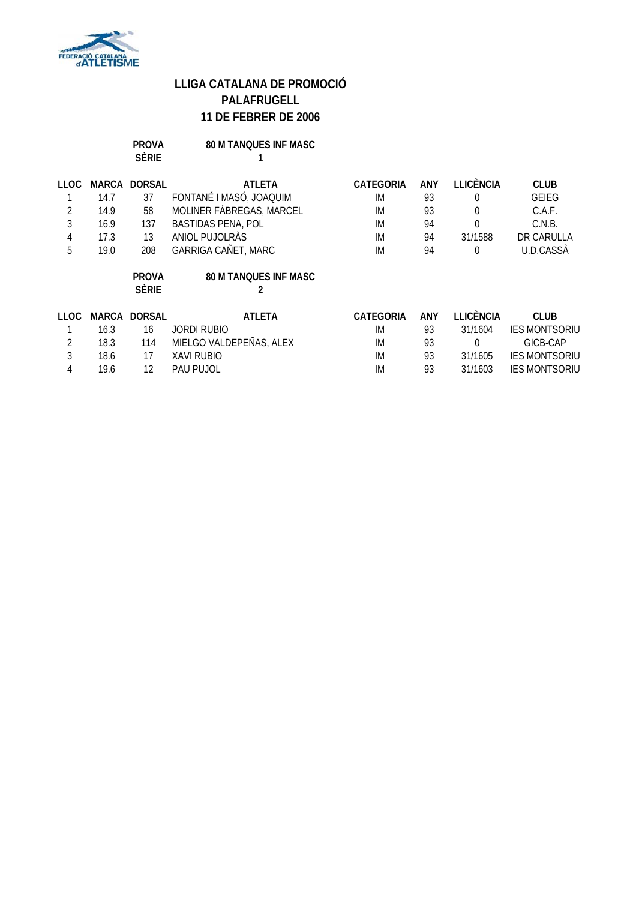

|             |              | <b>PROVA</b><br><b>SÈRIE</b> | <b>80 M TANQUES INF MASC</b> |                  |            |                  |                      |
|-------------|--------------|------------------------------|------------------------------|------------------|------------|------------------|----------------------|
| <b>LLOC</b> | <b>MARCA</b> | <b>DORSAL</b>                | <b>ATLETA</b>                | <b>CATEGORIA</b> | <b>ANY</b> | <b>LLICÈNCIA</b> | <b>CLUB</b>          |
|             | 14.7         | 37                           | FONTANÉ I MASÓ, JOAQUIM      | IM               | 93         | 0                | GEIEG                |
| 2           | 14.9         | 58                           | MOLINER FÀBREGAS, MARCEL     | IM               | 93         | 0                | C.A.F.               |
| 3           | 16.9         | 137                          | <b>BASTIDAS PENA, POL</b>    | IM               | 94         | 0                | C.N.B.               |
| 4           | 17.3         | 13                           | ANIOL PUJOLRAS               | IM               | 94         | 31/1588          | DR CARULLA           |
| 5           | 19.0         | 208                          | GARRIGA CAÑET, MARC          | IM               | 94         | $\mathbf 0$      | U.D.CASSÀ            |
|             |              | <b>PROVA</b>                 | <b>80 M TANQUES INF MASC</b> |                  |            |                  |                      |
|             |              | <b>SÈRIE</b>                 |                              |                  |            |                  |                      |
| LLOC.       | <b>MARCA</b> | <b>DORSAL</b>                | <b>ATLETA</b>                | <b>CATEGORIA</b> | <b>ANY</b> | <b>LLICÈNCIA</b> | <b>CLUB</b>          |
|             | 16.3         | 16                           | <b>JORDI RUBIO</b>           | IM               | 93         | 31/1604          | <b>IES MONTSORIU</b> |
| 2           | 18.3         | 114                          | MIELGO VALDEPEÑAS, ALEX      | IM               | 93         | 0                | GICB-CAP             |
| 3           | 18.6         | 17                           | XAVI RUBIO                   | IM               | 93         | 31/1605          | <b>IES MONTSORIU</b> |
| 4           | 19.6         | 12                           | PAU PUJOL                    | IM               | 93         | 31/1603          | <b>IES MONTSORIU</b> |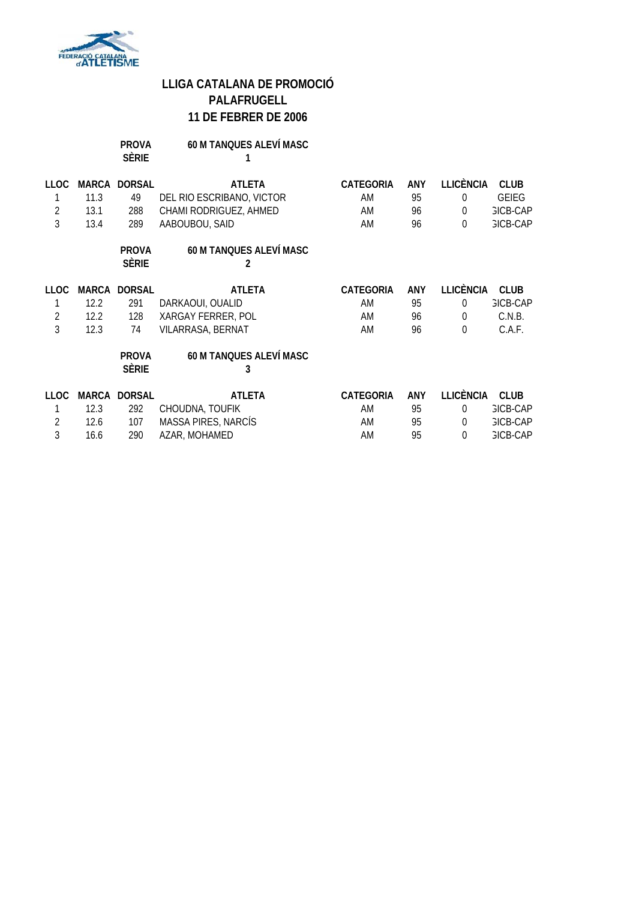

| <b>PROVA</b> | <b>60 M TANQUES ALEVÍ MASC</b> |
|--------------|--------------------------------|
| <b>SÈRIE</b> |                                |

| LLOC           |      | MARCA DORSAL                 | <b>ATLETA</b>                       | <b>CATEGORIA</b> | ANY | <b>LLICÈNCIA</b> | <b>CLUB</b>     |
|----------------|------|------------------------------|-------------------------------------|------------------|-----|------------------|-----------------|
|                | 11.3 | 49                           | DEL RIO ESCRIBANO, VICTOR           | AM               | 95  | $\Omega$         | <b>GEIEG</b>    |
| $\overline{2}$ | 13.1 | 288                          | CHAMI RODRIGUEZ, AHMED              | AM               | 96  | $\overline{0}$   | <b>GICB-CAP</b> |
| 3              | 13.4 | 289                          | AABOUBOU, SAID                      | AM               | 96  | $\Omega$         | <b>GICB-CAP</b> |
|                |      | <b>PROVA</b><br><b>SÈRIE</b> | <b>60 M TANQUES ALEVÍ MASC</b>      |                  |     |                  |                 |
| LLOC.          |      | MARCA DORSAL                 | <b>ATLETA</b>                       | <b>CATEGORIA</b> | ANY | <b>LLICÈNCIA</b> | <b>CLUB</b>     |
|                | 12.2 | 291                          | DARKAOUI, OUALID                    | AM               | 95  | $\Omega$         | <b>GICB-CAP</b> |
| $\overline{2}$ | 12.2 | 128                          | XARGAY FERRER, POL                  | AM               | 96  | $\theta$         | C.N.B.          |
| 3              | 12.3 | 74                           | VILARRASA, BERNAT                   | AM               | 96  | $\theta$         | C.A.F.          |
|                |      | <b>PROVA</b><br><b>SÈRIE</b> | <b>60 M TANQUES ALEVÍ MASC</b><br>3 |                  |     |                  |                 |
| <b>LLOC</b>    |      | MARCA DORSAL                 | <b>ATLETA</b>                       | <b>CATEGORIA</b> | ANY | <b>LLICÈNCIA</b> | <b>CLUB</b>     |
|                | 12.3 | 292                          | CHOUDNA, TOUFIK                     | AM               | 95  | $\Omega$         | <b>GICB-CAP</b> |
| 2              | 12.6 | 107                          | MASSA PIRES, NARCÍS                 | AM               | 95  | $\Omega$         | <b>GICB-CAP</b> |
| 3              | 16.6 | 290                          | AZAR, MOHAMED                       | AM               | 95  | $\theta$         | <b>GICB-CAP</b> |
|                |      |                              |                                     |                  |     |                  |                 |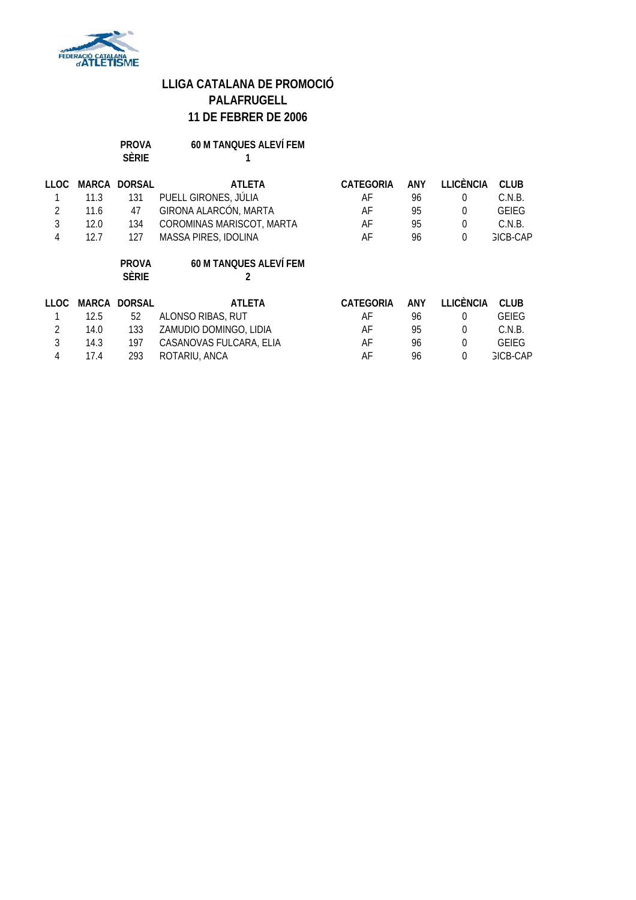

| <b>PROVA</b> | <b>60 M TANQUES ALEVÍ FEM</b> |
|--------------|-------------------------------|
| <b>SÈRIE</b> |                               |

| <b>LLOC</b> | MARCA | <b>DORSAL</b> | <b>ATLETA</b>                 | <b>CATEGORIA</b> | ANY | LLICÈNCIA        | <b>CLUB</b>     |
|-------------|-------|---------------|-------------------------------|------------------|-----|------------------|-----------------|
|             | 11.3  | 131           | PUELL GIRONES, JÚLIA          | AF               | 96  | 0                | C.N.B.          |
| 2           | 11.6  | 47            | GIRONA ALARCÓN, MARTA         | AF               | 95  | 0                | <b>GEIEG</b>    |
| 3           | 12.0  | 134           | COROMINAS MARISCOT, MARTA     | AF               | 95  | 0                | C.N.B.          |
| 4           | 12.7  | 127           | MASSA PIRES, IDOLINA          | AF               | 96  | $\overline{0}$   | <b>GICB-CAP</b> |
|             |       | <b>PROVA</b>  | <b>60 M TANQUES ALEVÍ FEM</b> |                  |     |                  |                 |
|             |       | <b>SÈRIE</b>  |                               |                  |     |                  |                 |
| TT OC.      | MARCA | <b>DORSAL</b> | <b>ATLETA</b>                 | <b>CATEGORIA</b> | ANY | <b>LLICÈNCIA</b> | <b>CLUB</b>     |
|             | 12.5  | 52            | ALONSO RIBAS, RUT             | AF               | 96  | $\Omega$         | <b>GEIEG</b>    |
| 2           | 14.0  | 133           | ZAMUDIO DOMINGO, LIDIA        | AF               | 95  | $\theta$         | C.N.B.          |
| 3           | 14.3  | 197           | CASANOVAS FULCARA, ELIA       | AF               | 96  | $\theta$         | <b>GEIEG</b>    |
| 4           | 17.4  | 293           | ROTARIU, ANCA                 | AF               | 96  | $\Omega$         | <b>GICB-CAP</b> |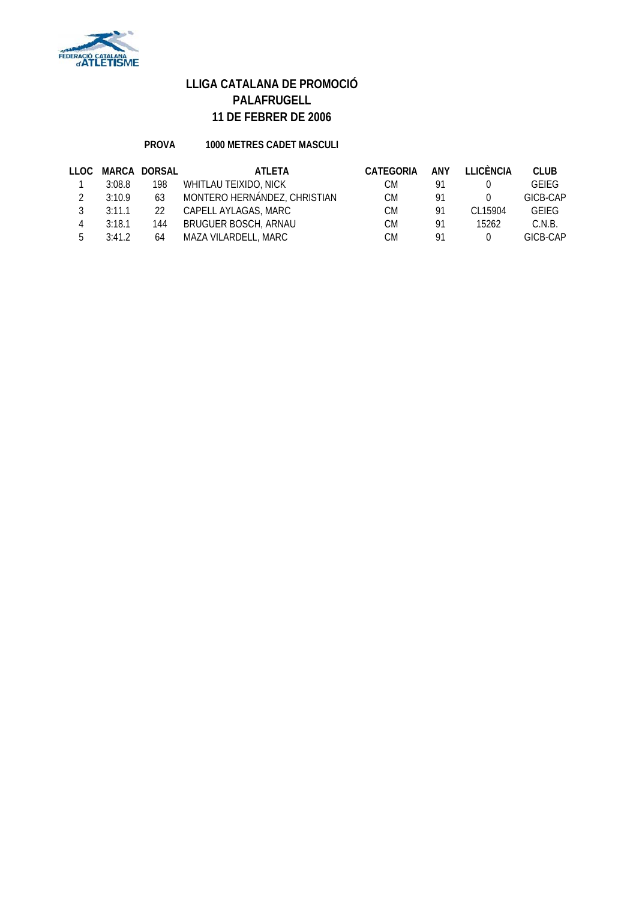

### **PROVA 1000 METRES CADET MASCULI**

| LLOC |        | MARCA DORSAL | <b>ATLETA</b>                | <b>CATEGORIA</b> | ANY | <b>ILICÈNCIA</b> | <b>CLUB</b>  |
|------|--------|--------------|------------------------------|------------------|-----|------------------|--------------|
|      | 3:08.8 | 198          | WHITLAU TEIXIDO, NICK        | СM               | 91  |                  | <b>GEIFG</b> |
|      | 3:10.9 | 63           | MONTERO HERNÁNDEZ, CHRISTIAN | СM               | 91  |                  | GICB-CAP     |
|      | 3:11.1 | $22^{\circ}$ | CAPELL AYLAGAS, MARC         | СM               | 91  | CI 15904         | <b>GEIEG</b> |
| 4    | 3:18.1 | 144          | <b>BRUGUER BOSCH, ARNAU</b>  | СM               | 91  | 15262            | C.N.B.       |
| 5.   | 3:41.2 | 64           | MAZA VILARDELL, MARC         | СM               | 91  |                  | GICB-CAP     |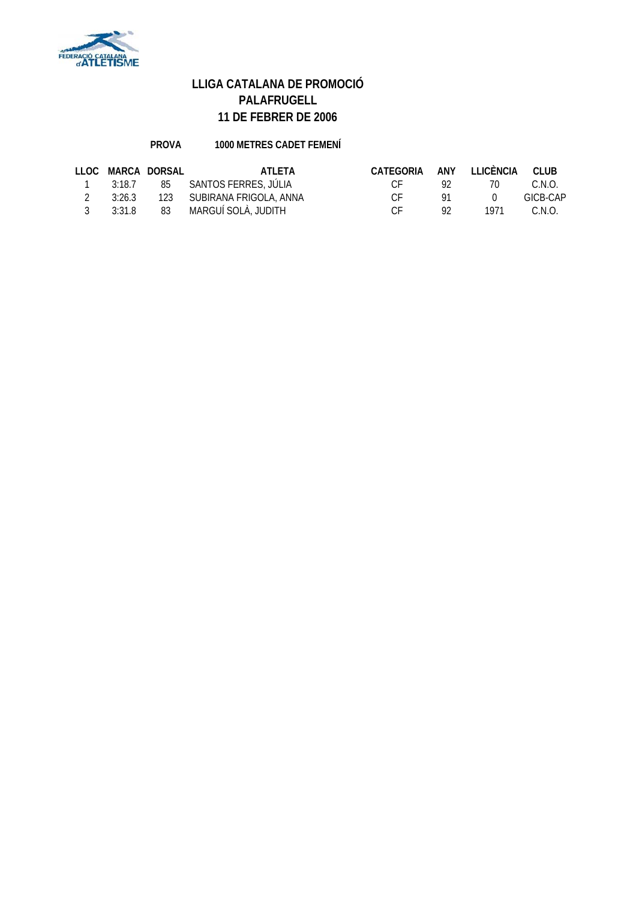

### **PROVA 1000 METRES CADET FEMENÍ**

|                |              | LLOC MARCA DORSAL | <b>ATI FTA</b>                                   | CATEGORIA ANY LLICÈNCIA CLUB |     |              |          |
|----------------|--------------|-------------------|--------------------------------------------------|------------------------------|-----|--------------|----------|
| $\overline{1}$ |              |                   | 3:18.7           85         SANTOS FERRES, JÚLIA | $\Gamma$ $\Gamma$            |     | $\prime$ ()  | C.N.O.   |
| $\mathcal{P}$  |              |                   | 3:26.3 123 SUBIRANA FRIGOLA, ANNA                | $\Gamma$ $\Gamma$            | 91  | $\mathbf{0}$ | GICB-CAP |
|                | $3 \t3:31.8$ |                   | 83 MARGUÍ SOLÀ, JUDITH                           | $\Gamma$ $\Gamma$            | 92. | 1971         | C.N.O.   |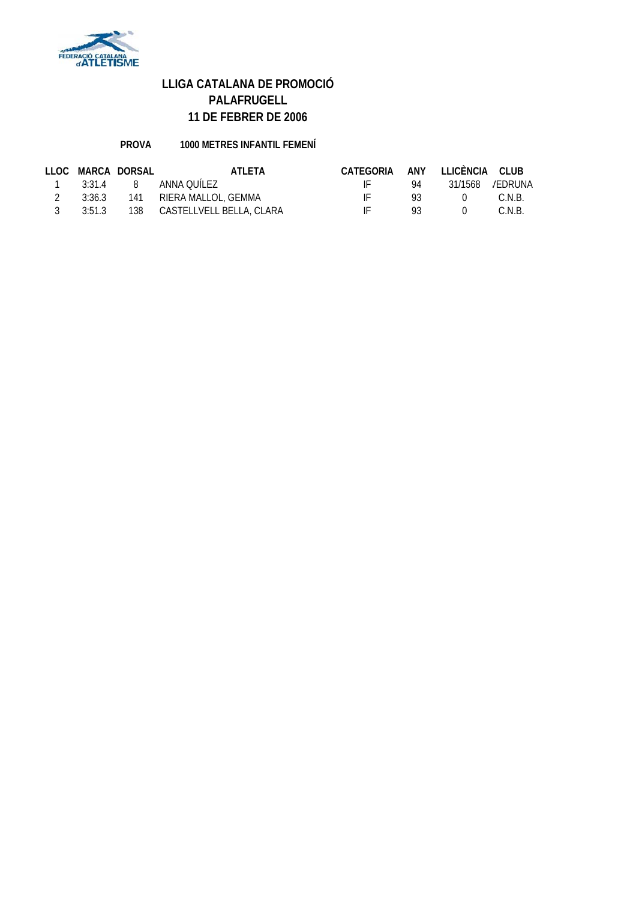

### **PROVA 1000 METRES INFANTIL FEMENÍ**

|                | LLOC MARCA DORSAL | ATLETA                                  | CATEGORIA ANY LLICÈNCIA CLUB |        |           |        |
|----------------|-------------------|-----------------------------------------|------------------------------|--------|-----------|--------|
|                |                   | 1 3:31.4 8 ANNA OUILEZ                  |                              |        |           |        |
| $\overline{2}$ |                   | 3:36.3 141 RIERA MALLOL, GEMMA          | $\mathbf{H}$                 | $93 -$ | $\bigcap$ | C.N.B. |
| $\mathcal{R}$  |                   | 3:51.3   138   CASTELLVELL BELLA, CLARA | $\mathbf{H}$                 | $93 -$ | $\bigcap$ | C.N.B. |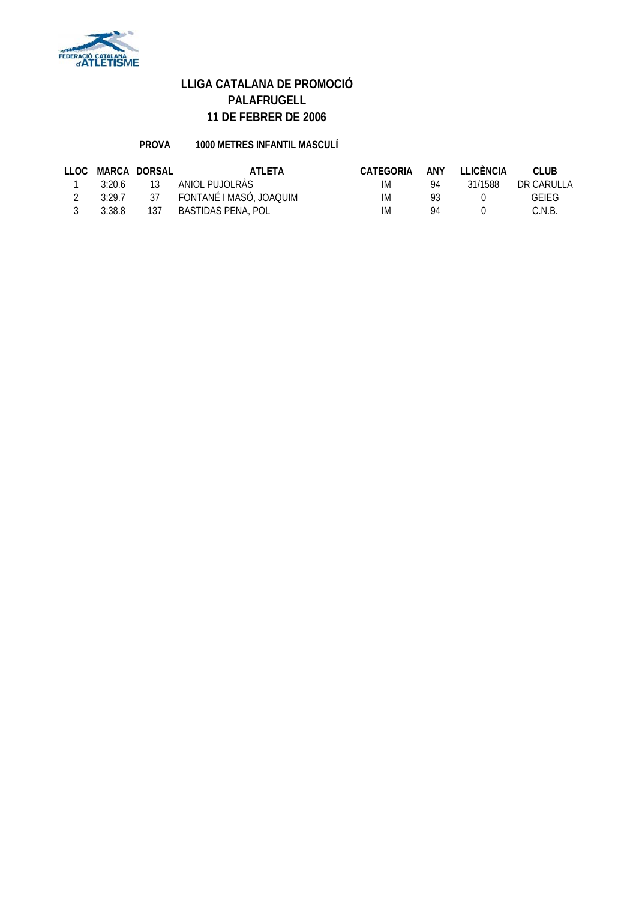

### **PROVA 1000 METRES INFANTIL MASCULÍ**

|        | LLOC MARCA DORSAL | ATLETA                     | CATEGORIA |    | ANY LLICÈNCIA | CLUB.        |
|--------|-------------------|----------------------------|-----------|----|---------------|--------------|
| 3:20.6 | 13                | ANIOL PUJOLRÀS             | IM        | 94 | 31/1588       | DR CARULLA   |
| 3:29.7 |                   | 37 FONTANÉ I MASÓ, JOAQUIM | IM        | 93 |               | <b>GFIFG</b> |
| 3:38.8 | 137               | BASTIDAS PENA, POL         | IM.       | QΔ |               | C.N.B.       |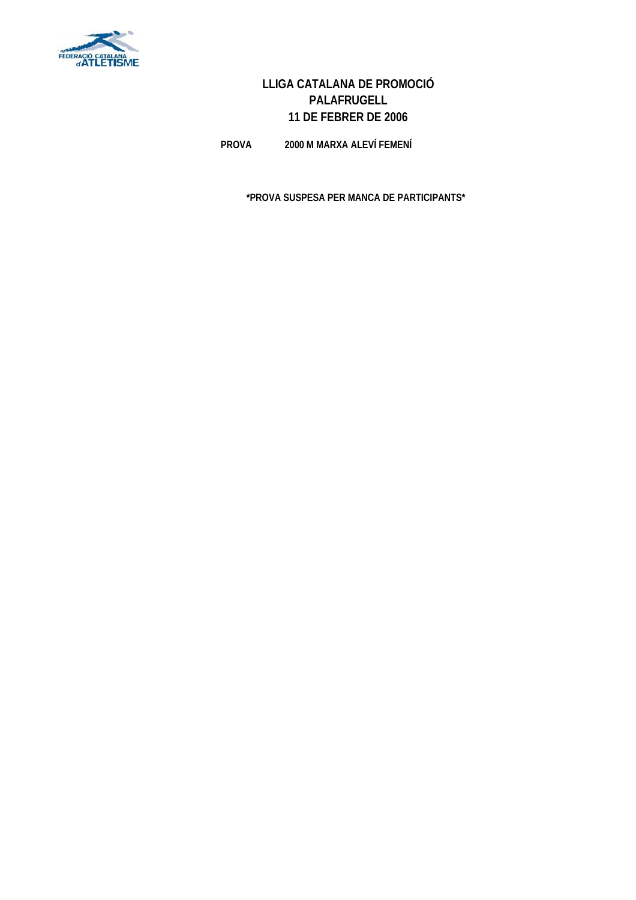

**PROVA 2000 M MARXA ALEVÍ FEMENÍ**

**\*PROVA SUSPESA PER MANCA DE PARTICIPANTS\***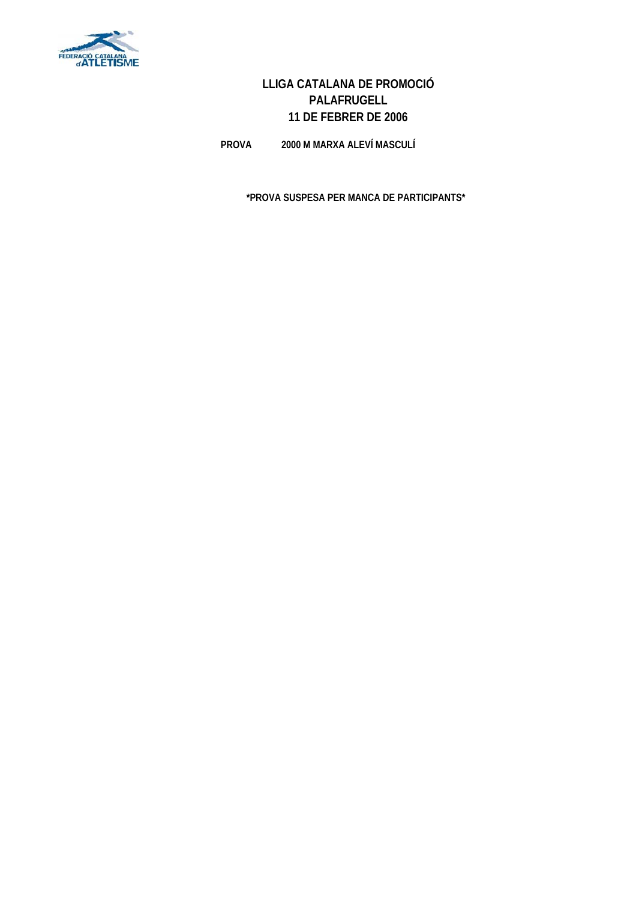

**PROVA 2000 M MARXA ALEVÍ MASCULÍ**

**\*PROVA SUSPESA PER MANCA DE PARTICIPANTS\***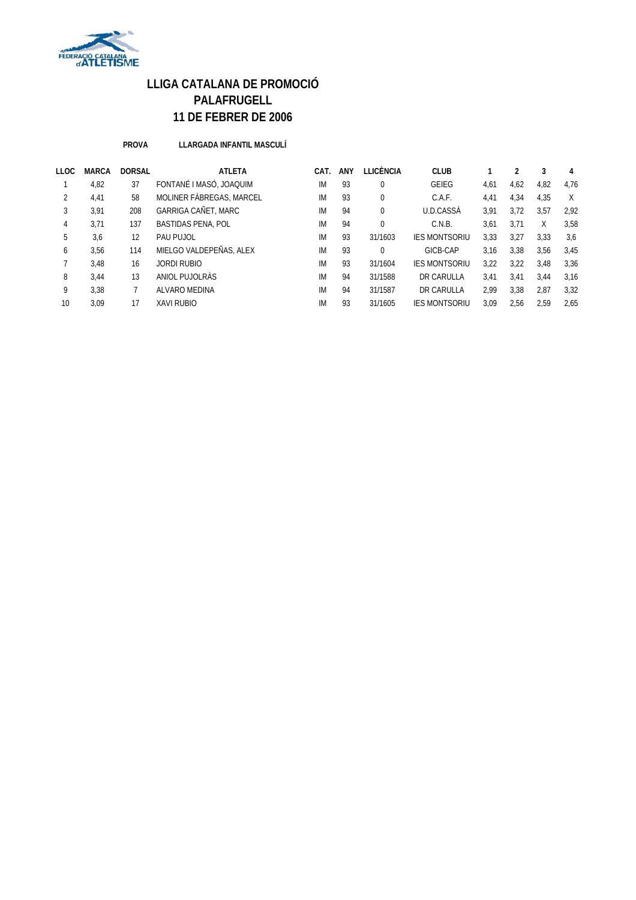

**PROVA LLARGADA INFANTIL MASCULÍ**

| LLOC | <b>MARCA</b> | <b>DORSAL</b> | <b>ATLETA</b>              | CAT. | ANY | LLICÈNCIA | <b>CLUB</b>          |      |      | 3    | 4    |
|------|--------------|---------------|----------------------------|------|-----|-----------|----------------------|------|------|------|------|
|      | 4,82         | 37            | FONTANÉ I MASÓ, JOAQUIM    | IM   | 93  | $\Omega$  | <b>GEIEG</b>         | 4,61 | 4,62 | 4,82 | 4.76 |
| 2    | 4,41         | 58            | MOLINER FÀBREGAS, MARCEL   | IM   | 93  | 0         | C.A.F.               | 4,41 | 4,34 | 4,35 | X    |
| 3    | 3,91         | 208           | <b>GARRIGA CAÑET, MARC</b> | IM   | 94  | 0         | U.D.CASSÀ            | 3,91 | 3.72 | 3,57 | 2.92 |
| 4    | 3,71         | 137           | <b>BASTIDAS PENA, POL</b>  | IM   | 94  | 0         | C.N.B.               | 3,61 | 3,71 | X    | 3,58 |
| 5    | 3,6          | 12            | PAU PUJOL                  | IM   | 93  | 31/1603   | <b>IES MONTSORIU</b> | 3,33 | 3,27 | 3,33 | 3,6  |
| 6    | 3.56         | 114           | MIELGO VALDEPEÑAS, ALEX    | IM   | 93  | $\Omega$  | GICB-CAP             | 3.16 | 3,38 | 3,56 | 3.45 |
|      | 3,48         | 16            | JORDI RUBIO                | IM   | 93  | 31/1604   | <b>IES MONTSORIU</b> | 3,22 | 3,22 | 3,48 | 3,36 |
| 8    | 3,44         | 13            | ANIOL PUJOLRÀS             | IM   | 94  | 31/1588   | DR CARULLA           | 3,41 | 3,41 | 3,44 | 3,16 |
| 9    | 3.38         |               | ALVARO MEDINA              | IM   | 94  | 31/1587   | DR CARULLA           | 2,99 | 3,38 | 2,87 | 3,32 |
| 10   | 3.09         | 17            | <b>XAVI RUBIO</b>          | IM   | 93  | 31/1605   | <b>IES MONTSORIU</b> | 3.09 | 2,56 | 2,59 | 2.65 |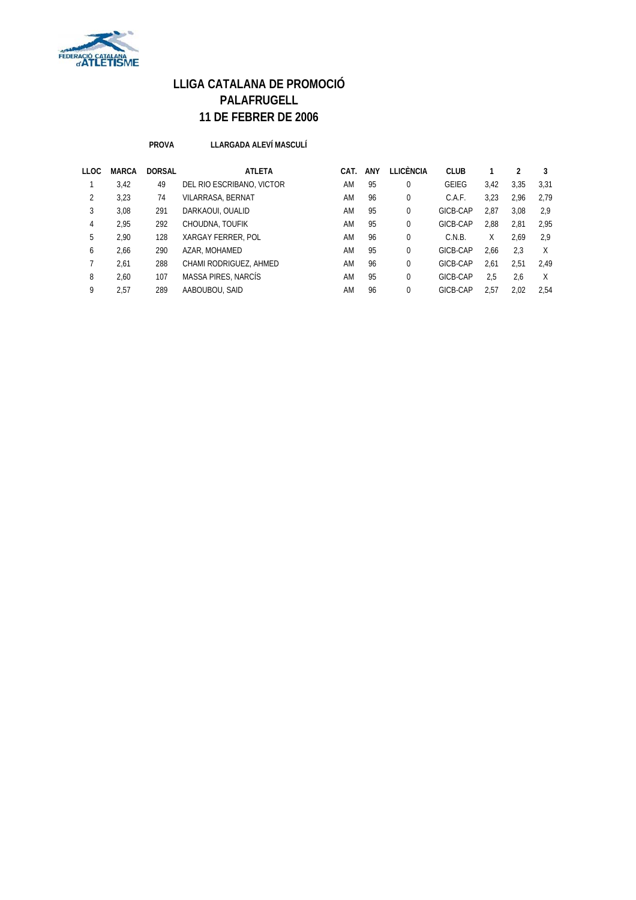

#### **PROVA LLARGADA ALEVÍ MASCULÍ**

| <b>LLOC</b> | <b>MARCA</b> | <b>DORSAL</b> | <b>ATLETA</b>             | CAT. | ANY | LLICÈNCIA   | <b>CLUB</b>  |      |      | 3    |
|-------------|--------------|---------------|---------------------------|------|-----|-------------|--------------|------|------|------|
|             | 3,42         | 49            | DEL RIO ESCRIBANO, VICTOR | AM   | 95  | 0           | <b>GEIEG</b> | 3.42 | 3.35 | 3.31 |
| 2           | 3,23         | 74            | VILARRASA, BERNAT         | AM   | 96  | 0           | C.A.F.       | 3.23 | 2.96 | 2.79 |
| 3           | 3,08         | 291           | DARKAOUI, OUALID          | AM   | 95  | $\mathbf 0$ | GICB-CAP     | 2.87 | 3.08 | 2.9  |
| 4           | 2.95         | 292           | CHOUDNA, TOUFIK           | AM   | 95  | $\mathbf 0$ | GICB-CAP     | 2,88 | 2,81 | 2.95 |
| 5           | 2.90         | 128           | XARGAY FERRER, POL        | AM   | 96  | 0           | C.N.B.       | Χ    | 2.69 | 2.9  |
| 6           | 2,66         | 290           | AZAR, MOHAMED             | AM   | 95  | $\mathbf 0$ | GICB-CAP     | 2.66 | 2,3  | X    |
|             | 2,61         | 288           | CHAMI RODRIGUEZ, AHMED    | AM   | 96  | $\mathbf 0$ | GICB-CAP     | 2.61 | 2.51 | 2.49 |
| 8           | 2.60         | 107           | MASSA PIRES, NARCÍS       | AM   | 95  | $\Omega$    | GICB-CAP     | 2.5  | 2,6  | X    |
| 9           | 2.57         | 289           | AABOUBOU, SAID            | AM   | 96  | 0           | GICB-CAP     | 2.57 | 2.02 | 2.54 |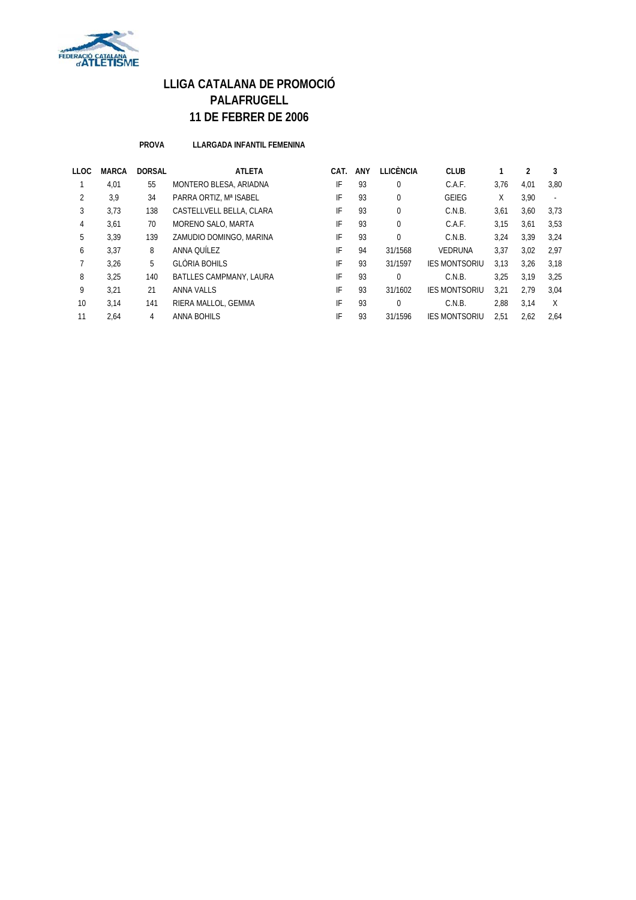

#### **PROVA LLARGADA INFANTIL FEMENINA**

| LLOC | MARCA | <b>DORSAL</b> | <b>ATLETA</b>                  | CAT. | ANY | LLICÈNCIA | <b>CLUB</b>          |      |      | 3      |
|------|-------|---------------|--------------------------------|------|-----|-----------|----------------------|------|------|--------|
|      | 4,01  | 55            | MONTERO BLESA, ARIADNA         | IF   | 93  | 0         | C.A.F.               | 3,76 | 4,01 | 3.80   |
| 2    | 3,9   | 34            | PARRA ORTIZ, Mª ISABEL         | IF   | 93  | 0         | <b>GEIEG</b>         | χ    | 3,90 | $\sim$ |
| 3    | 3.73  | 138           | CASTELLVELL BELLA, CLARA       | IF   | 93  | $\Omega$  | C.N.B.               | 3,61 | 3,60 | 3.73   |
| 4    | 3,61  | 70            | MORENO SALO, MARTA             | IF   | 93  | $\Omega$  | C.A.F.               | 3.15 | 3,61 | 3,53   |
| 5    | 3.39  | 139           | ZAMUDIO DOMINGO, MARINA        | IF   | 93  | $\Omega$  | C.N.B.               | 3.24 | 3,39 | 3,24   |
| 6    | 3.37  | 8             | ANNA OUÍLEZ                    | IF   | 94  | 31/1568   | <b>VEDRUNA</b>       | 3,37 | 3,02 | 2,97   |
|      | 3.26  | 5             | GLÒRIA BOHILS                  | IF   | 93  | 31/1597   | <b>IES MONTSORIU</b> | 3.13 | 3.26 | 3.18   |
| 8    | 3.25  | 140           | <b>BATLLES CAMPMANY, LAURA</b> | IF   | 93  | 0         | C.N.B.               | 3.25 | 3.19 | 3.25   |
| 9    | 3.21  | 21            | ANNA VALLS                     | IF   | 93  | 31/1602   | <b>IES MONTSORIU</b> | 3.21 | 2.79 | 3.04   |
| 10   | 3.14  | 141           | RIERA MALLOL, GEMMA            | IF   | 93  | $\Omega$  | C.N.B.               | 2.88 | 3.14 | X      |
| 11   | 2,64  | 4             | ANNA BOHILS                    | IF   | 93  | 31/1596   | <b>IES MONTSORIU</b> | 2.51 | 2,62 | 2,64   |
|      |       |               |                                |      |     |           |                      |      |      |        |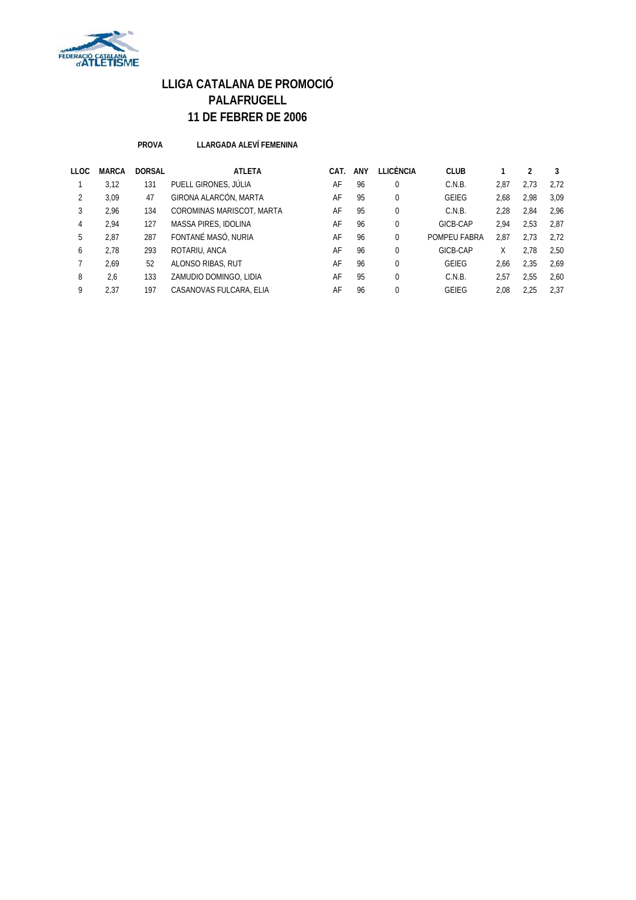

**PROVA LLARGADA ALEVÍ FEMENINA**

| LLOC | MARCA | <b>DORSAL</b> | <b>ATLETA</b>             | CAT. | ANY | LLICÈNCIA | <b>CLUB</b>  |      |      | 3    |
|------|-------|---------------|---------------------------|------|-----|-----------|--------------|------|------|------|
|      | 3.12  | 131           | PUELL GIRONES, JÚLIA      | AF   | 96  | $\Omega$  | C.N.B.       | 2.87 | 2.73 | 2.72 |
| 2    | 3.09  | 47            | GIRONA ALARCÓN, MARTA     | AF   | 95  | $\Omega$  | <b>GEIEG</b> | 2.68 | 2.98 | 3.09 |
| 3    | 2.96  | 134           | COROMINAS MARISCOT, MARTA | AF   | 95  | $\Omega$  | C.N.B.       | 2.28 | 2,84 | 2.96 |
| 4    | 2.94  | 127           | MASSA PIRES, IDOLINA      | AF   | 96  | $\Omega$  | GICB-CAP     | 2.94 | 2.53 | 2.87 |
| 5    | 2,87  | 287           | FONTANÉ MASÓ, NURIA       | AF   | 96  | $\Omega$  | POMPEU FABRA | 2,87 | 2.73 | 2,72 |
| 6    | 2.78  | 293           | ROTARIU, ANCA             | AF   | 96  | $\Omega$  | GICB-CAP     | X    | 2.78 | 2,50 |
|      | 2,69  | 52            | ALONSO RIBAS, RUT         | AF   | 96  | $\Omega$  | <b>GEIEG</b> | 2,66 | 2,35 | 2,69 |
| 8    | 2,6   | 133           | ZAMUDIO DOMINGO, LIDIA    | AF   | 95  | $\Omega$  | C.N.B.       | 2.57 | 2.55 | 2.60 |
| 9    | 2.37  | 197           | CASANOVAS FULCARA, ELIA   | AF   | 96  |           | GEIEG        | 2.08 | 2.25 | 2.37 |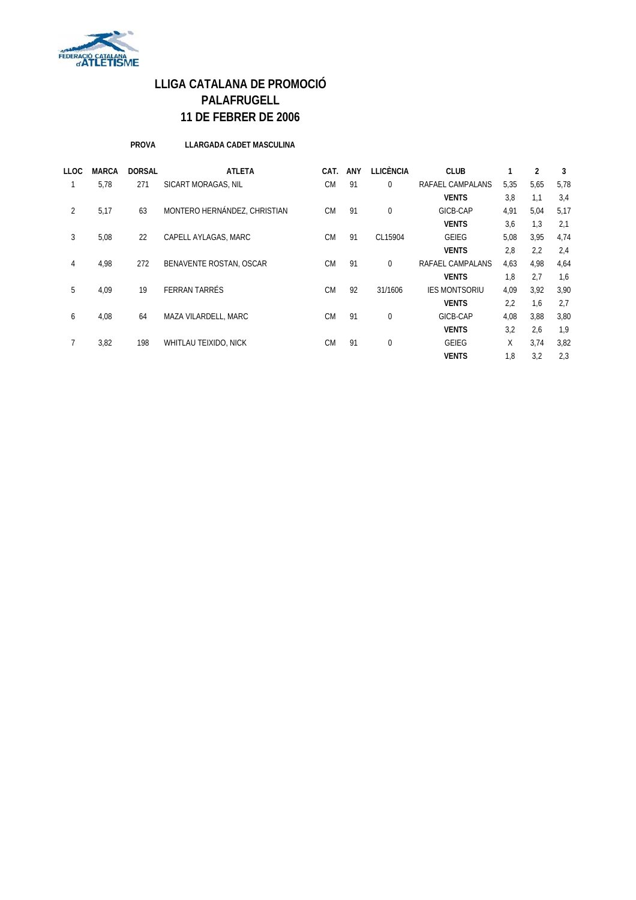

**PROVA LLARGADA CADET MASCULINA**

| LLOC | <b>MARCA</b> | <b>DORSAL</b> | <b>ATLETA</b>                | CAT.      | <b>ANY</b> | <b>LLICÈNCIA</b> | <b>CLUB</b>          |      | 2    | 3    |
|------|--------------|---------------|------------------------------|-----------|------------|------------------|----------------------|------|------|------|
|      | 5.78         | 271           | SICART MORAGAS, NIL          | <b>CM</b> | 91         | 0                | RAFAEL CAMPALANS     | 5,35 | 5,65 | 5,78 |
|      |              |               |                              |           |            |                  | <b>VENTS</b>         | 3,8  | 1.1  | 3,4  |
| 2    | 5,17         | 63            | MONTERO HERNÁNDEZ, CHRISTIAN | <b>CM</b> | 91         | $\mathbf{0}$     | GICB-CAP             | 4,91 | 5,04 | 5,17 |
|      |              |               |                              |           |            |                  | <b>VENTS</b>         | 3,6  | 1,3  | 2,1  |
| 3    | 5,08         | 22            | CAPELL AYLAGAS, MARC         | <b>CM</b> | 91         | CL15904          | <b>GEIEG</b>         | 5,08 | 3,95 | 4,74 |
|      |              |               |                              |           |            |                  | <b>VENTS</b>         | 2,8  | 2,2  | 2,4  |
| 4    | 4,98         | 272           | BENAVENTE ROSTAN, OSCAR      | <b>CM</b> | 91         | 0                | RAFAEL CAMPALANS     | 4,63 | 4,98 | 4,64 |
|      |              |               |                              |           |            |                  | <b>VENTS</b>         | 1.8  | 2.7  | 1,6  |
| 5    | 4,09         | 19            | FERRAN TARRÉS                | <b>CM</b> | 92         | 31/1606          | <b>IES MONTSORIU</b> | 4,09 | 3,92 | 3,90 |
|      |              |               |                              |           |            |                  | <b>VENTS</b>         | 2,2  | 1.6  | 2,7  |
| 6    | 4.08         | 64            | MAZA VILARDELL, MARC         | <b>CM</b> | 91         | $\mathbf{0}$     | GICB-CAP             | 4,08 | 3,88 | 3,80 |
|      |              |               |                              |           |            |                  | <b>VENTS</b>         | 3,2  | 2,6  | 1,9  |
| 7    | 3,82         | 198           | WHITLAU TEIXIDO, NICK        | <b>CM</b> | 91         | $\mathbf{0}$     | GEIEG                | X    | 3,74 | 3,82 |
|      |              |               |                              |           |            |                  | <b>VENTS</b>         | 1,8  | 3,2  | 2,3  |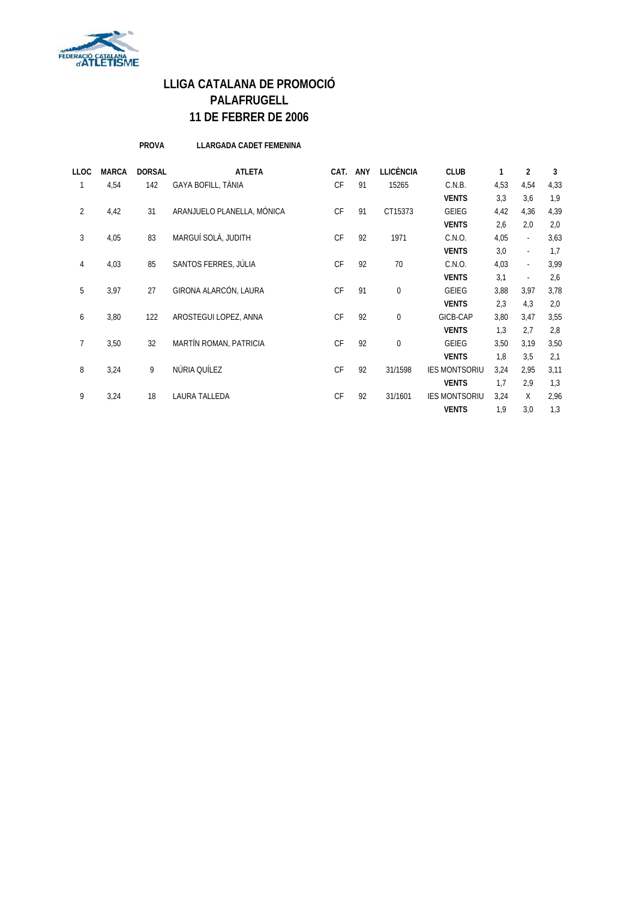

**PROVA LLARGADA CADET FEMENINA**

| <b>LLOC</b>    | <b>MARCA</b> | <b>DORSAL</b> | <b>ATLETA</b>              | CAT.      | <b>ANY</b> | LLICÈNCIA   | <b>CLUB</b>          | 1    | 2              | 3    |
|----------------|--------------|---------------|----------------------------|-----------|------------|-------------|----------------------|------|----------------|------|
|                | 4,54         | 142           | GAYA BOFILL, TÀNIA         | <b>CF</b> | 91         | 15265       | C.N.B.               | 4,53 | 4,54           | 4,33 |
|                |              |               |                            |           |            |             | <b>VENTS</b>         | 3,3  | 3,6            | 1,9  |
| $\overline{2}$ | 4,42         | 31            | ARANJUELO PLANELLA, MÒNICA | <b>CF</b> | 91         | CT15373     | <b>GEIEG</b>         | 4,42 | 4,36           | 4,39 |
|                |              |               |                            |           |            |             | <b>VENTS</b>         | 2,6  | 2,0            | 2,0  |
| 3              | 4,05         | 83            | MARGUÍ SOLÀ, JUDITH        | <b>CF</b> | 92         | 1971        | C.N.O.               | 4,05 | $\omega$       | 3,63 |
|                |              |               |                            |           |            |             | <b>VENTS</b>         | 3,0  | ä,             | 1,7  |
| 4              | 4,03         | 85            | SANTOS FERRES, JÚLIA       | <b>CF</b> | 92         | 70          | C.N.O.               | 4,03 | $\blacksquare$ | 3,99 |
|                |              |               |                            |           |            |             | <b>VENTS</b>         | 3,1  | $\sim$         | 2,6  |
| 5              | 3,97         | 27            | GIRONA ALARCÓN, LAURA      | <b>CF</b> | 91         | $\mathbf 0$ | <b>GEIEG</b>         | 3,88 | 3,97           | 3,78 |
|                |              |               |                            |           |            |             | <b>VENTS</b>         | 2,3  | 4,3            | 2,0  |
| 6              | 3,80         | 122           | AROSTEGUI LOPEZ, ANNA      | <b>CF</b> | 92         | $\mathbf 0$ | GICB-CAP             | 3,80 | 3,47           | 3,55 |
|                |              |               |                            |           |            |             | <b>VENTS</b>         | 1,3  | 2.7            | 2,8  |
| $\overline{7}$ | 3,50         | 32            | MARTÍN ROMAN, PATRICIA     | <b>CF</b> | 92         | $\mathbf 0$ | <b>GEIEG</b>         | 3,50 | 3,19           | 3,50 |
|                |              |               |                            |           |            |             | <b>VENTS</b>         | 1,8  | 3,5            | 2,1  |
| 8              | 3,24         | 9             | NÚRIA QUÍLEZ               | <b>CF</b> | 92         | 31/1598     | <b>IES MONTSORIU</b> | 3,24 | 2,95           | 3,11 |
|                |              |               |                            |           |            |             | <b>VENTS</b>         | 1,7  | 2,9            | 1,3  |
| 9              | 3,24         | 18            | LAURA TALLEDA              | <b>CF</b> | 92         | 31/1601     | <b>IES MONTSORIU</b> | 3,24 | X              | 2,96 |
|                |              |               |                            |           |            |             | <b>VENTS</b>         | 1,9  | 3,0            | 1,3  |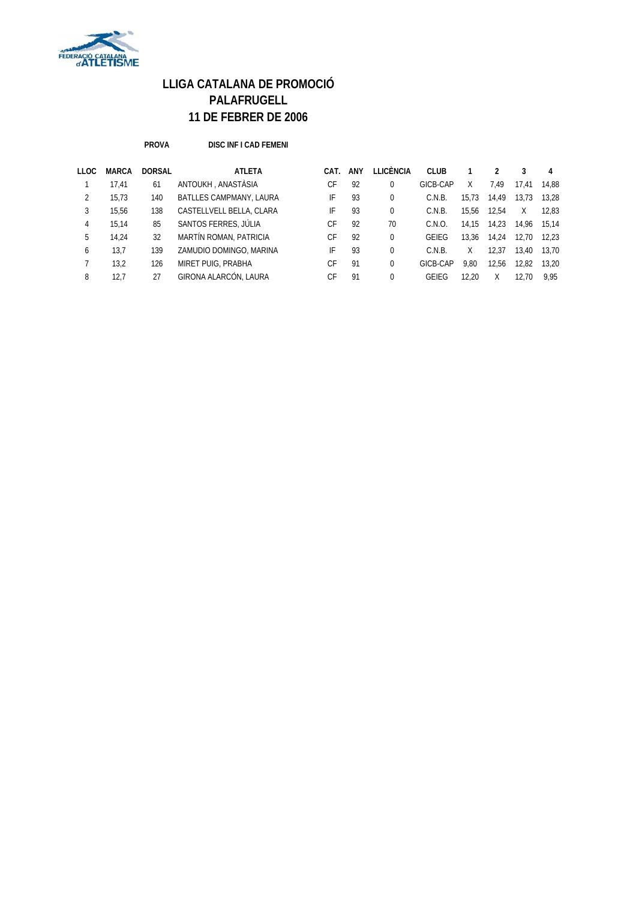

**PROVA DISC INF I CAD FEMENI**

| LLOC | <b>MARCA</b> | <b>DORSAL</b> | <b>ATLETA</b>            | CAT. | ANY | LLICÈNCIA | <b>CLUB</b> |       |       |       | 4     |
|------|--------------|---------------|--------------------------|------|-----|-----------|-------------|-------|-------|-------|-------|
|      | 17.41        | 61            | ANTOUKH, ANASTÀSIA       | СF   | 92  | 0         | GICB-CAP    | X     | 7.49  | 17.41 | 14.88 |
|      | 15,73        | 140           | BATLLES CAMPMANY, LAURA  | IF   | 93  | 0         | C.N.B.      | 15.73 | 14,49 | 13.73 | 13.28 |
| 3    | 15.56        | 138           | CASTELLVELL BELLA, CLARA | IF   | 93  | 0         | C.N.B.      | 15.56 | 12.54 | X     | 12.83 |
| 4    | 15,14        | 85            | SANTOS FERRES, JÚLIA     | СF   | 92  | 70        | C.N.O.      | 14.15 | 14,23 | 14.96 | 15.14 |
| 5    | 14.24        | 32            | MARTÍN ROMAN, PATRICIA   | СF   | 92  | 0         | GEIEG       | 13.36 | 14,24 | 12.70 | 12.23 |
| 6    | 13,7         | 139           | ZAMUDIO DOMINGO, MARINA  | IF   | 93  | $\Omega$  | C.N.B.      | Χ     | 12.37 | 13.40 | 13.70 |
|      | 13.2         | 126           | MIRET PUIG, PRABHA       | СF   | 91  | 0         | GICB-CAP    | 9.80  | 12,56 | 12,82 | 13.20 |
| 8    | 12.7         | 27            | GIRONA ALARCÓN, LAURA    | C.F  | 91  | $\Omega$  | GEIEG       | 12.20 | Χ     | 12.70 | 9.95  |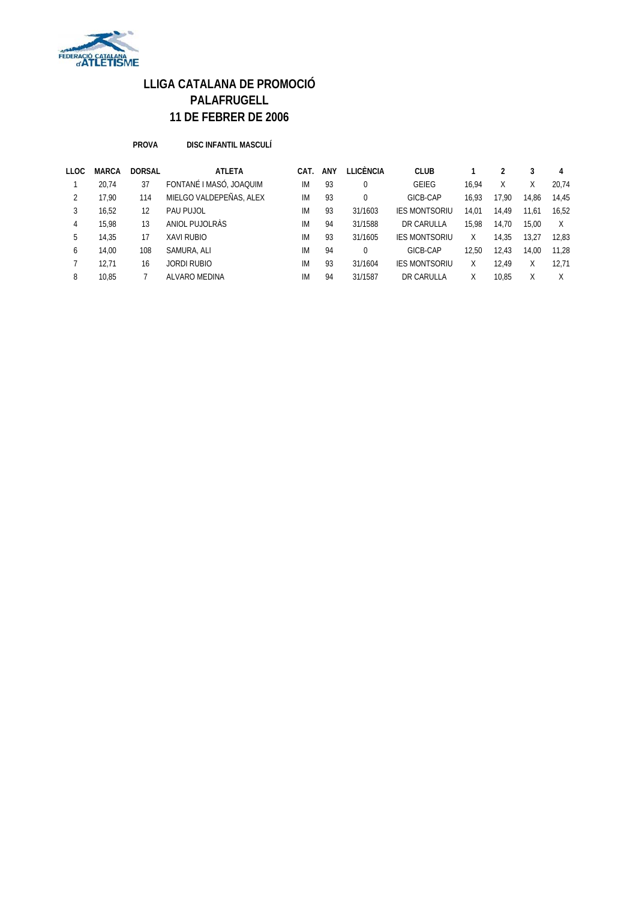

**PROVA DISC INFANTIL MASCULÍ**

| LLOC | <b>MARCA</b> | <b>DORSAL</b> | <b>ATLETA</b>           | CAT. | <b>ANY</b> | LLICÈNCIA | <b>CLUB</b>          |       |       |       | 4     |
|------|--------------|---------------|-------------------------|------|------------|-----------|----------------------|-------|-------|-------|-------|
|      | 20.74        | 37            | FONTANÉ I MASÓ, JOAQUIM | IM   | 93         | 0         | <b>GEIEG</b>         | 16.94 | Χ     |       | 20.74 |
| 2    | 17.90        | 114           | MIELGO VALDEPEÑAS, ALEX | IM   | 93         | $\Omega$  | GICB-CAP             | 16.93 | 17.90 | 14.86 | 14.45 |
| 3    | 16.52        | 12            | PAU PUJOL               | IM   | 93         | 31/1603   | <b>IES MONTSORIU</b> | 14.01 | 14.49 | 11,61 | 16.52 |
| 4    | 15.98        | 13            | ANIOL PUJOLRAS          | IM   | 94         | 31/1588   | DR CARULLA           | 15.98 | 14.70 | 15.00 | X     |
| 5    | 14.35        | 17            | <b>XAVI RUBIO</b>       | IM   | 93         | 31/1605   | <b>IES MONTSORIU</b> | X     | 14,35 | 13.27 | 12,83 |
| 6    | 14.00        | 108           | SAMURA, ALI             | IM   | 94         | $\Omega$  | GICB-CAP             | 12.50 | 12.43 | 14.00 | 11.28 |
|      | 12,71        | 16            | JORDI RUBIO             | IM   | 93         | 31/1604   | <b>IES MONTSORIU</b> | X     | 12.49 |       | 12.71 |
| 8    | 10.85        |               | ALVARO MEDINA           | IM   | 94         | 31/1587   | DR CARULLA           | Χ     | 10.85 |       | Χ     |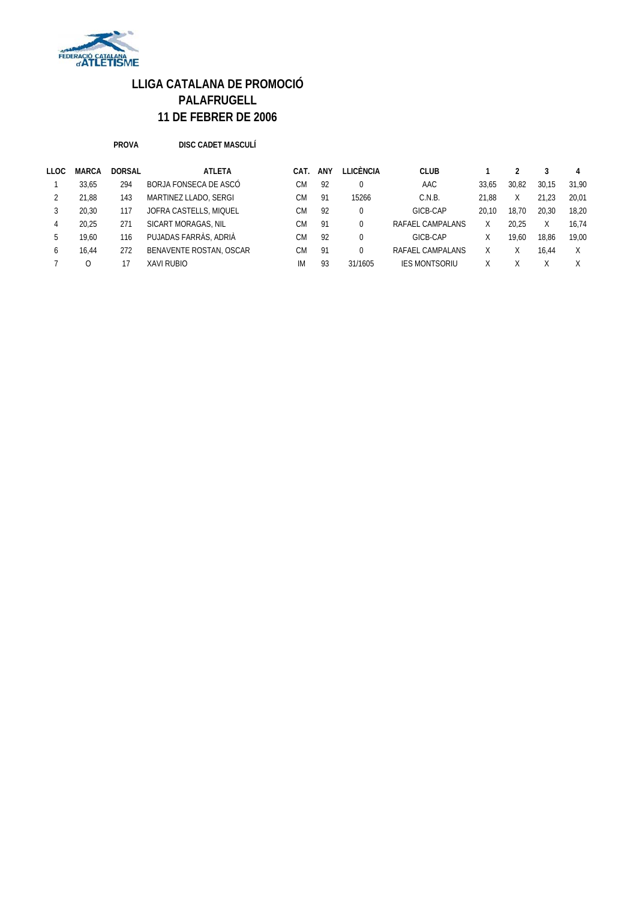

**PROVA DISC CADET MASCULÍ**

| LLOC | <b>MARCA</b> | <b>DORSAL</b> | <b>ATLETA</b>           | CAT. | ANY | I I ICÈNCIA | <b>CLUB</b>          |       |       |       |       |
|------|--------------|---------------|-------------------------|------|-----|-------------|----------------------|-------|-------|-------|-------|
|      | 33.65        | 294           | BORJA FONSECA DE ASCÓ   | CМ   | 92  |             | AAC                  | 33.65 | 30.82 | 30.15 | 31.90 |
|      | 21.88        | 143           | MARTINEZ LLADO, SERGI   | CМ   | 91  | 15266       | C.N.B.               | 21.88 | Χ     | 21.23 | 20.01 |
|      | 20.30        | 117           | JOFRA CASTELLS, MIQUEL  | CМ   | 92  |             | GICB-CAP             | 20.10 | 18.70 | 20.30 | 18.20 |
| 4    | 20.25        | 271           | SICART MORAGAS, NIL     | CМ   | 91  | 0           | RAFAEL CAMPALANS     |       | 20.25 |       | 16.74 |
| b.   | 19.60        | 116           | PUJADAS FARRÀS, ADRIÀ   | CМ   | 92  | 0           | GICB-CAP             |       | 19.60 | 18.86 | 19.00 |
| 6    | 16.44        | 272           | BENAVENTE ROSTAN, OSCAR | СM   | 91  |             | RAFAEL CAMPALANS     |       |       | 16.44 | Χ     |
|      |              |               | <b>XAVI RUBIO</b>       | IM   | 93  | 31/1605     | <b>IES MONTSORIU</b> |       |       |       | X     |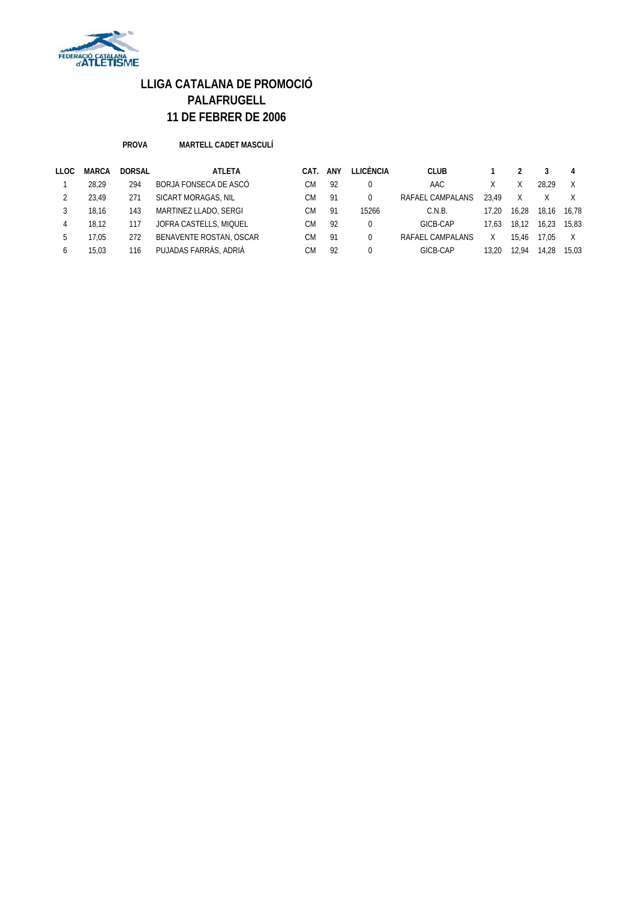

#### **PROVA MARTELL CADET MASCULÍ**

| LLOC | <b>MARCA</b> | <b>DORSAL</b> | <b>ATLETA</b>           | CAT. | ANY | LLICÈNCIA | <b>CLUB</b>      |       |       |       | 4     |
|------|--------------|---------------|-------------------------|------|-----|-----------|------------------|-------|-------|-------|-------|
|      | 28.29        | 294           | BORJA FONSECA DE ASCÓ   | СM   | 92  |           | AAC              |       |       | 28.29 |       |
|      | 23.49        | 271           | SICART MORAGAS, NIL     | CМ   | 91  |           | RAFAEL CAMPALANS | 23.49 | X.    |       |       |
|      | 18.16        | 143           | MARTINEZ LLADO, SERGI   | СM   | 91  | 15266     | C.N.B.           | 17.20 | 16.28 | 18.16 | 16.78 |
| 4    | 18.12        | 117           | JOFRA CASTELLS, MIQUEL  | СM   | 92  |           | GICB-CAP         | 17.63 | 18.12 | 16.23 | 15.83 |
| b    | 17.05        | 272           | BENAVENTE ROSTAN, OSCAR | СM   | 91  |           | RAFAEL CAMPALANS |       | 15.46 | 17.05 | X     |
| b    | 15.03        | 116           | PUJADAS FARRÀS, ADRIÀ   | CМ   | 92  |           | GICB-CAP         | 13.20 | 12.94 | 14.28 | 15.03 |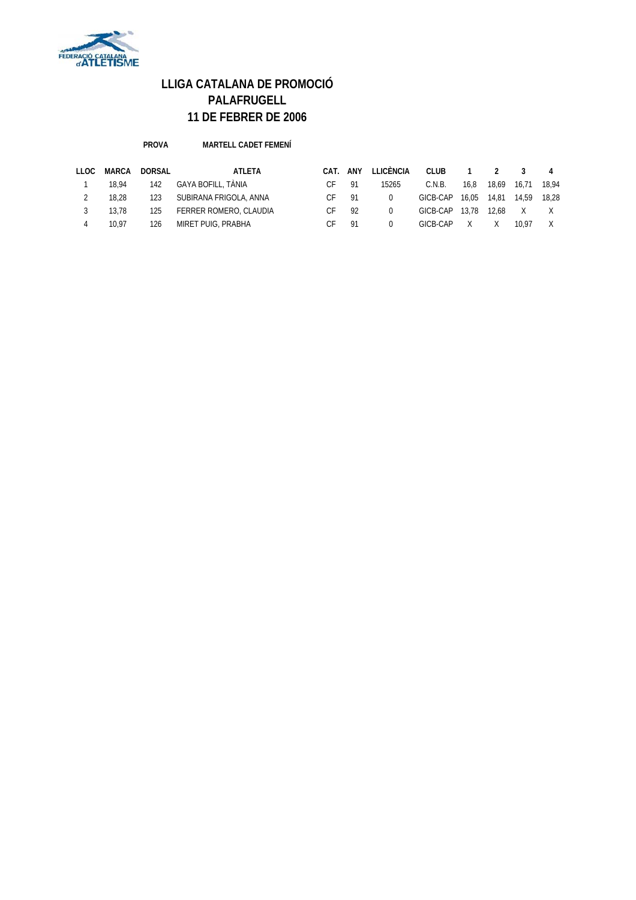

**PROVA MARTELL CADET FEMENÍ**

| LLOC | MARCA | <b>DORSAL</b> | ATLETA                 | CAT. | ANY | <b>LLICÈNCIA</b> | <b>CLUB</b> |       |       |       |       |
|------|-------|---------------|------------------------|------|-----|------------------|-------------|-------|-------|-------|-------|
|      | 18.94 | 142           | GAYA BOFILL, TÀNIA     | СF   | 91  | 15265            | C.N.B.      | 16.8  | 18.69 | 16.71 | 18.94 |
|      | 18.28 | 123           | SUBIRANA FRIGOLA, ANNA | СF   | 91  | $\Omega$         | GICB-CAP    | 16.05 | 14.81 | 14.59 | 18.28 |
|      | 13.78 | 125           | FERRER ROMERO, CLAUDIA |      | 92  |                  | GICB-CAP    | 13.78 | 12.68 |       |       |
|      | 10.97 | 126           | MIRET PUIG, PRABHA     | CF.  | 91  |                  | GICB-CAP    |       |       | 10.97 |       |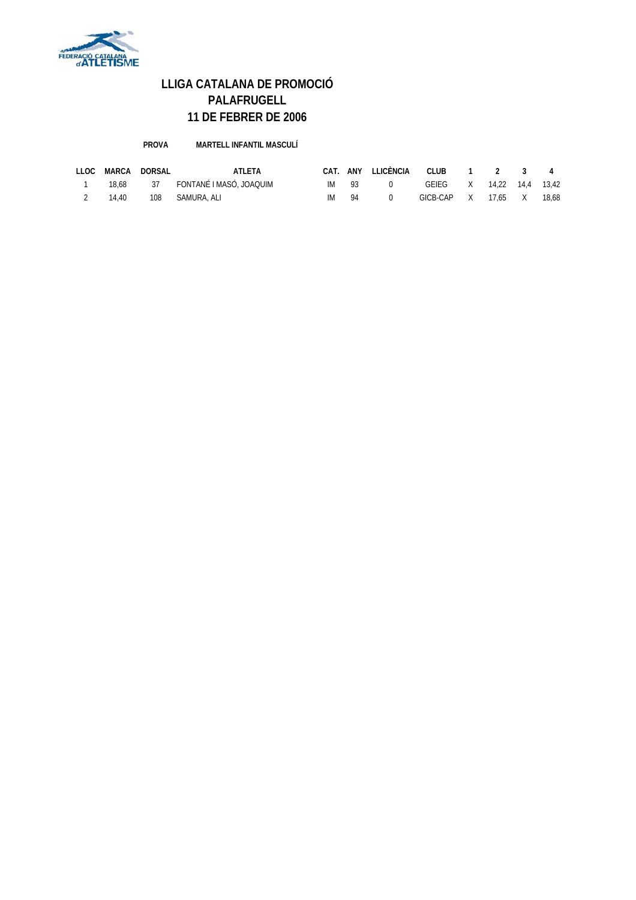

**PROVA MARTELL INFANTIL MASCULÍ**

| <b>LLOC</b> | MARCA | DORSAL | <b>ATLETA</b>           | CAT. |      | ANY LLICÈNCIA | CLUB 1 2 3               |         |       |
|-------------|-------|--------|-------------------------|------|------|---------------|--------------------------|---------|-------|
|             | 18.68 |        | FONTANÉ I MASÓ. JOAQUIM | ΙM   | - Q3 |               | GEIEG X 14.22 14.4 13.42 |         |       |
|             | 14.40 | 108    | SAMURA, ALI             | IМ   | 94   |               | GICB-CAP X               | 17.65 X | 18.68 |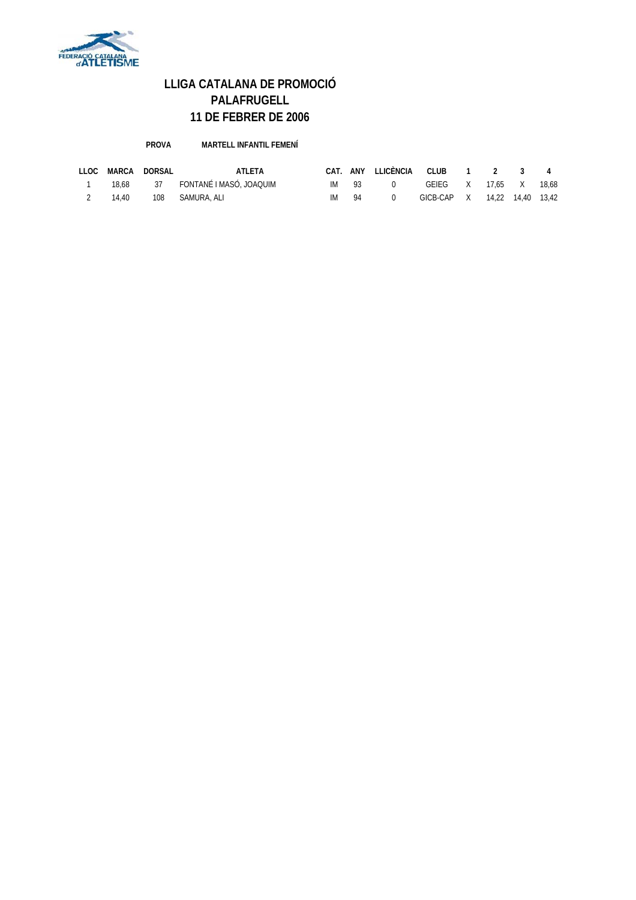

**PROVA MARTELL INFANTIL FEMENÍ**

| LLOC | MARCA | DORSAL | ATLETA                           |      |         | CAT. ANY LLICÈNCIA CLUB 1 2 3 4 |                              |  |  |
|------|-------|--------|----------------------------------|------|---------|---------------------------------|------------------------------|--|--|
|      |       |        | 18.68 37 FONTANÉ I MASÓ, JOAQUIM |      | $IM$ 93 | $\overline{0}$                  | GEIEG X 17.65 X 18.68        |  |  |
|      | 14.40 |        | 108 SAMURA, ALI                  | IM — | -94     | $\cap$                          | GICB-CAP X 14,22 14,40 13,42 |  |  |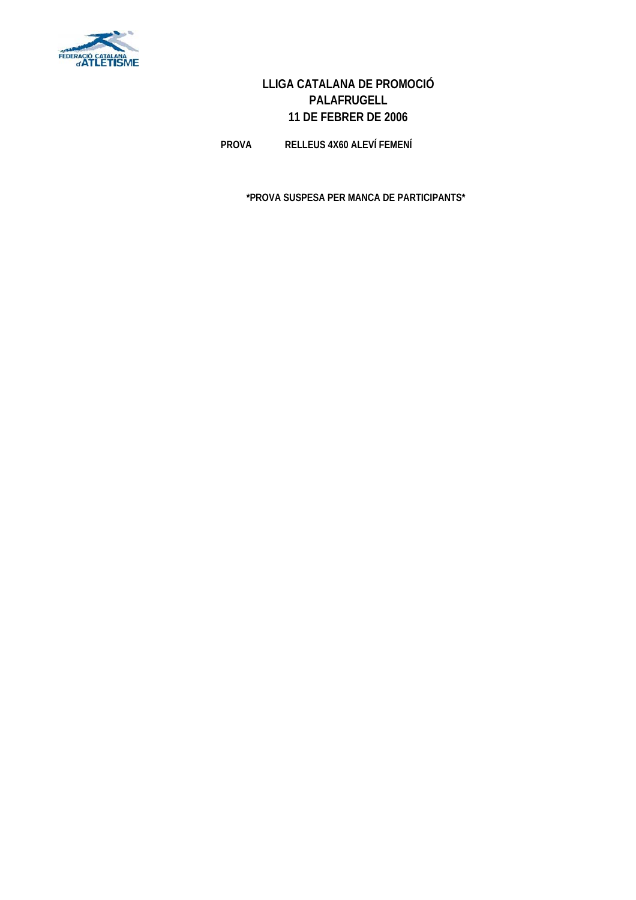

**PROVA RELLEUS 4X60 ALEVÍ FEMENÍ**

**\*PROVA SUSPESA PER MANCA DE PARTICIPANTS\***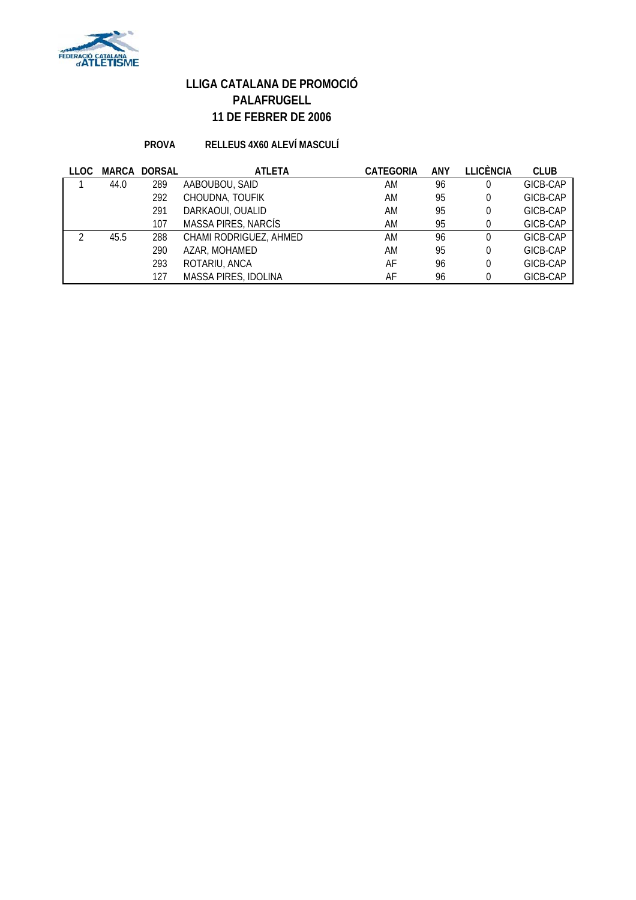

### **PROVA RELLEUS 4X60 ALEVÍ MASCULÍ**

| LLOC | MARCA | <b>DORSAL</b> | <b>ATLETA</b>          | <b>CATEGORIA</b> | <b>ANY</b> | <b>LLICÈNCIA</b> | <b>CLUB</b> |
|------|-------|---------------|------------------------|------------------|------------|------------------|-------------|
|      | 44.0  | 289           | AABOUBOU, SAID         | ΑM               | 96         | 0                | GICB-CAP    |
|      |       | 292           | CHOUDNA, TOUFIK        | ΑM               | 95         | 0                | GICB-CAP    |
|      |       | 291           | DARKAOUI, OUALID       | ΑM               | 95         | 0                | GICB-CAP    |
|      |       | 107           | MASSA PIRES, NARCÍS    | ΑM               | 95         |                  | GICB-CAP    |
|      | 45.5  | 288           | CHAMI RODRIGUEZ, AHMED | ΑM               | 96         | 0                | GICB-CAP    |
|      |       | 290           | AZAR, MOHAMED          | AM               | 95         | 0                | GICB-CAP    |
|      |       | 293           | ROTARIU, ANCA          | AF               | 96         | 0                | GICB-CAP    |
|      |       | 127           | MASSA PIRES, IDOLINA   | AF               | 96         | U                | GICB-CAP    |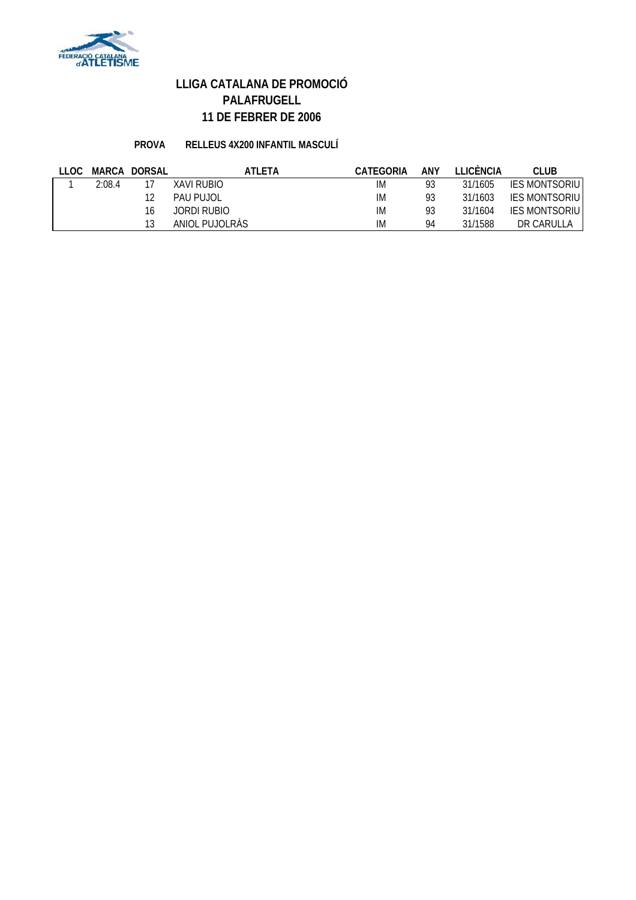

### **PROVA RELLEUS 4X200 INFANTIL MASCULÍ**

| LLOC. |        | MARCA DORSAL | ATLETA            | CATEGORIA | ANY | <b>TEICÈNCIA</b> | CLUB                  |
|-------|--------|--------------|-------------------|-----------|-----|------------------|-----------------------|
|       | 2:08.4 |              | <b>XAVI RUBIO</b> | IM        | 93  | 31/1605          | <b>IES MONTSORIU</b>  |
|       |        |              | PAU PUJOL         | IM        | 93  | 31/1603          | <b>IES MONTSORIUI</b> |
|       |        | 16           | JORDI RUBIO       | IM        | 93  | 31/1604          | <b>IES MONTSORIU</b>  |
|       |        |              | ANIOL PUJOLRAS    | ΙM        | 94  | 31/1588          | DR CARULLA            |